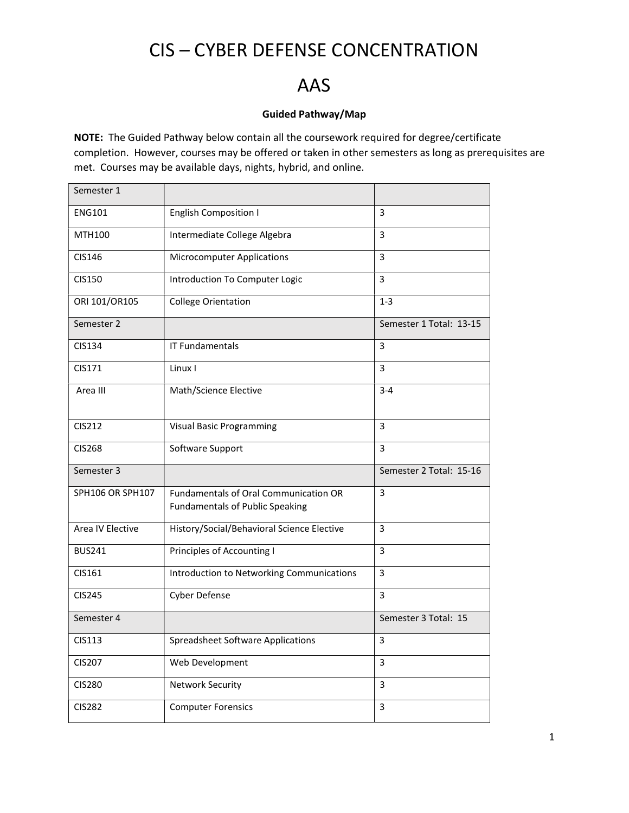### CIS – CYBER DEFENSE CONCENTRATION

### AAS

#### Guided Pathway/Map

NOTE: The Guided Pathway below contain all the coursework required for degree/certificate completion. However, courses may be offered or taken in other semesters as long as prerequisites are met. Courses may be available days, nights, hybrid, and online.

| Semester 1       |                                                                                        |                         |
|------------------|----------------------------------------------------------------------------------------|-------------------------|
| <b>ENG101</b>    | <b>English Composition I</b>                                                           | 3                       |
| MTH100           | Intermediate College Algebra                                                           | 3                       |
| CIS146           | <b>Microcomputer Applications</b>                                                      | 3                       |
| <b>CIS150</b>    | Introduction To Computer Logic                                                         | 3                       |
| ORI 101/OR105    | <b>College Orientation</b>                                                             | $1 - 3$                 |
| Semester 2       |                                                                                        | Semester 1 Total: 13-15 |
| CIS134           | <b>IT Fundamentals</b>                                                                 | 3                       |
| CIS171           | Linux I                                                                                | 3                       |
| Area III         | Math/Science Elective                                                                  | $3 - 4$                 |
|                  |                                                                                        |                         |
| CIS212           | <b>Visual Basic Programming</b>                                                        | 3                       |
| <b>CIS268</b>    | Software Support                                                                       | 3                       |
| Semester 3       |                                                                                        | Semester 2 Total: 15-16 |
| SPH106 OR SPH107 | <b>Fundamentals of Oral Communication OR</b><br><b>Fundamentals of Public Speaking</b> | 3                       |
| Area IV Elective | History/Social/Behavioral Science Elective                                             | 3                       |
| <b>BUS241</b>    | Principles of Accounting I                                                             | 3                       |
| CIS161           | Introduction to Networking Communications                                              | 3                       |
| <b>CIS245</b>    | Cyber Defense                                                                          | 3                       |
| Semester 4       |                                                                                        | Semester 3 Total: 15    |
| CIS113           | Spreadsheet Software Applications                                                      | 3                       |
| <b>CIS207</b>    | Web Development                                                                        | 3                       |
| <b>CIS280</b>    | <b>Network Security</b>                                                                | $\overline{3}$          |
| <b>CIS282</b>    | <b>Computer Forensics</b>                                                              | $\overline{3}$          |